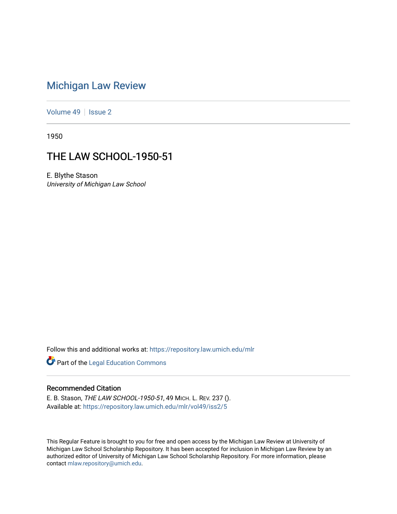# [Michigan Law Review](https://repository.law.umich.edu/mlr)

[Volume 49](https://repository.law.umich.edu/mlr/vol49) | [Issue 2](https://repository.law.umich.edu/mlr/vol49/iss2)

1950

## THE LAW SCHOOL-1950-51

E. Blythe Stason University of Michigan Law School

Follow this and additional works at: [https://repository.law.umich.edu/mlr](https://repository.law.umich.edu/mlr?utm_source=repository.law.umich.edu%2Fmlr%2Fvol49%2Fiss2%2F5&utm_medium=PDF&utm_campaign=PDFCoverPages) 

**Part of the Legal Education Commons** 

## Recommended Citation

E. B. Stason, THE LAW SCHOOL-1950-51, 49 MICH. L. REV. 237 (). Available at: [https://repository.law.umich.edu/mlr/vol49/iss2/5](https://repository.law.umich.edu/mlr/vol49/iss2/5?utm_source=repository.law.umich.edu%2Fmlr%2Fvol49%2Fiss2%2F5&utm_medium=PDF&utm_campaign=PDFCoverPages)

This Regular Feature is brought to you for free and open access by the Michigan Law Review at University of Michigan Law School Scholarship Repository. It has been accepted for inclusion in Michigan Law Review by an authorized editor of University of Michigan Law School Scholarship Repository. For more information, please contact [mlaw.repository@umich.edu](mailto:mlaw.repository@umich.edu).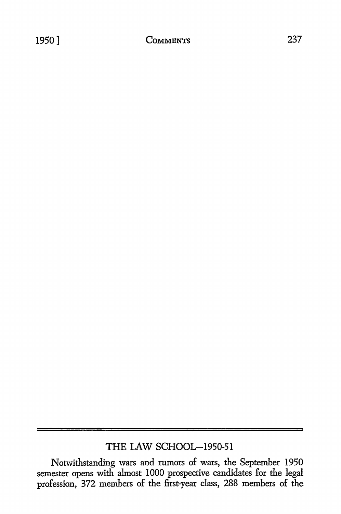## THE LAW SCHOOL-1950-51

Notwithstanding wars and rumors of wars, the September 1950 semester opens with almost I 000 prospective candidates for the legal profession, 372 members of the first-year class, 288 members of the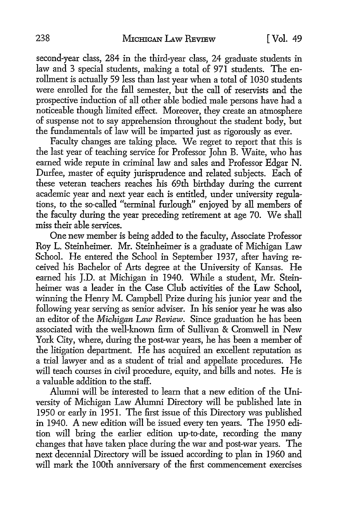second-year class, 284 in the third-year class, 24 graduate students in law and 3 special students, making a total of 971 students. The enrollment is actually 59 less than last year when a total of 1030 students were enrolled for the fall semester, but the call of reservists and the prospective induction of all other able bodied male persons have had a noticeable though limited effect. Moreover, they create an atmosphere of suspense not to say apprehension throughout the student body, but the fundamentals of law will be imparted just as rigorously as ever.

Faculty changes are taking place. We regret to report that this is the last year of teaching service for Professor John B. Waite, who has earned wide repute in criminal law and sales and Professor Edgar N. Durfee, master of equity jurisprudence and related subjects. Each of these veteran teachers reaches his 69th birthday during the current academic year and next year each is entitled, under university regulations, *to* the so-called "terminal furlough" enjoyed by all members of the faculty during the year preceding retirement at age 70. We shall miss their able services.

One new member is being added to the faculty, Associate Professor Roy L. Steinheimer. Mr. Steinheimer is a graduate of Michigan Law School. He entered the School in September 1937, after having received his Bachelor of Arts degree at the University of Kansas. He earned his J.D. at Michigan in 1940. While a student, Mr. Steinheimer was a leader in the Case Club activities of the Law School, winning the Henry M. Campbell Prize during his junior year and the following year serving as senior adviser. In his senior year he was also an editor of the *Michigan Law Review.* Since graduation he has been associated with the well-known firm of Sullivan & Cromwell in New York City, where, during the post-war years, he has been a member of the litigation department. He has acquired an excellent reputation as a trial lawyer and as a student of trial and appellate procedures. He will teach courses in civil procedure, equity, and bills and notes. He is a valuable addition *to* the staff.

Alumni will be interested *to* learn that a new edition of the University of Michigan Law Alumni Directory will be published late in 1950 or early in 1951. The first issue of this Directory was published in 1940. A new edition will be issued every ten years. The 1950 edition will bring the earlier edition up-to-date, recording the many changes that have taken place during the war and post-war years. The next decennial Directory will be issued according to plan in 1960 and will mark the 100th anniversary of the first commencement exercises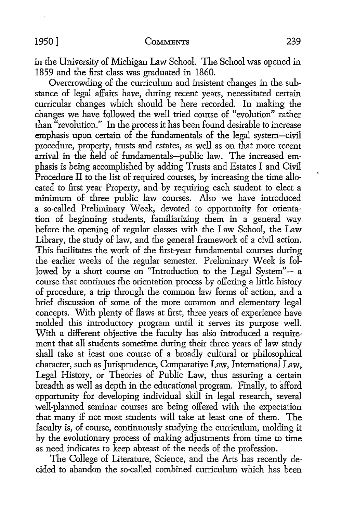in the University of Michigan Law School. The School was opened in 1859 and the first class was graduated in 1860.

Overcrowding of the curriculum and insistent changes in the substance of legal affairs have, during recent years, necessitated certain curricular changes which should be here recorded. In making the changes we have followed the well tried course of "evolution" rather than "revolution." In the process it has been found desirable to increase emphasis upon certain of the fundamentals of the legal system-civil procedure, property, trusts and estates, as well as on that more recent arrival in the field of fundamentals-public law. The increased emphasis is being accomplished by adding Trusts and Estates I and Civil Procedure II to the list of required courses, by increasing the time allocated to first year Property, and by requiring each student to elect a minimum of three public law courses. Also we have introduced a so-called Preliminary Week, devoted to opportunity for orientation of beginning students, familiarizing them in a general way before the opening of regular classes with the Law School, the Law Library, the study of law, and the general framework of a civil action. This facilitates the work of the first-year fundamental courses during the earlier weeks of the regular semester. Preliminary Week is followed by a short course on "Introduction to the Legal System"- a course that continues the orientation process by offering a little history of procedure, a trip through the common law forms of action, and a brief discussion of some of the more common and elementary legal concepts. With plenty of flaws at first, three years of experience have molded this introductory program until it serves its purpose well. With a different objective the faculty has also introduced a requirement that all students sometime during their three years of law study shall take at least one course of a broadly cultural or philosophical character, such as Jurisprudence, Comparative Law, International Law, Legal History, or Theories of Public Law, thus assuring a certain breadth as well as depth in the educational program. Finally, to afford opportunity for developing individual skill in legal research, several well-planned seminar courses are being offered with the expectation that many if not most students will take at least one of them. The faculty is, of course, continuously studying the curriculum, molding it by the evolutionary process of making adjustments from time to time as need indicates to keep abreast of the needs of the profession.

The College of Literature, Science, and the Arts has recently decided to abandon the so-called combined curriculum which has been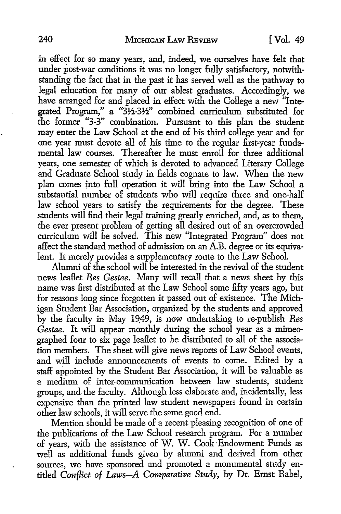in effect for so many years, and, indeed, we ourselves have felt that under post-war conditions it was no longer fully satisfactory, notwithstanding the fact that in the past it has served well as the pathway to legal education for many of our ablest graduates. Accordingly, we have arranged for and placed in effect with the College a new "Integrated Program," a "3½-3½" combined curriculum substituted for the former "3-3" combination. Pursuant to this plan the student may enter the Law School at the end of his third college year and for one year must devote all of his time to the regular first-year fundamental law courses. Thereafter he must enroll for three additional years, one semester of which is devoted to advanced Literary College and Graduate School study in fields cognate to law. When the new plan comes *into* full operation it will bring into the Law School a substantial number of students who will require three and one-half law school years to satisfy the requirements for the degree. These students will find their legal training greatly enriched, and, as to them, the ever present problem of getting all desired out of an overcrowded curriculum will be solved. This new "Integrated Program" does not affect the standard method of admission on an A.B. degree or its equivalent. It merely provides a supplementary route to the Law School.

Alumni of the school will be interested in the revival of the student news leaflet *Res Gestae.* Many will recall that a news sheet by this name was first distributed at the Law School some fifty years ago, but for reasons long since forgotten it passed out of existence. The Michigan Student Bar Association, organized by the students and approved by the faculty in May 19.49, is now undertaking to re-publish *Res Gestae.* It will appear monthly during the school year as a mimeographed four to six page leaflet to be distributed to all of the association members. The sheet will give news reports of Law School events, and will include announcements of events to come. Edited by a staff appointed by the Student Bar Association, it will be valuable as a medium of inter-communication between law students, student groups, and-the faculty. Although less elaborate and, incidentally, less expensive than the printed law student newspapers found in certain other law schools, it will serve the same good end.

Mention should be made of a recent pleasing recognition of one of the publications of the Law School research program. For a number of years, with the assistance of W. W. Cook· Endowment Funds as well as additional funds given by alumni and derived from other sources, we have sponsored and promoted a monumental study entitled *Conflict of Laws-A Comparative Study*, by Dr. Ernst Rabel,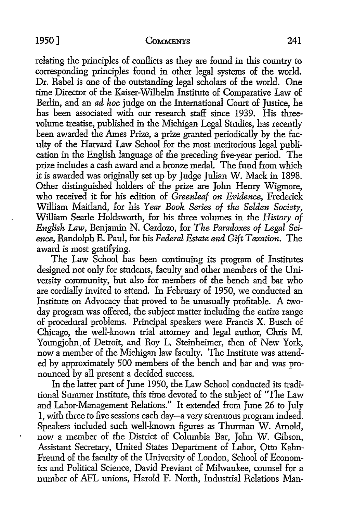$\ddot{\phantom{0}}$ 

### 1950] **CoMMENTS** 241

relating the principles of conflicts as they are found in this country to corresponding principles found in other legal systems of the world. Dr. Rabel is one of the outstanding legal scholars of the world. One time Director of the Kaiser-Wilhelm Institute of Comparative Law of Berlin, and an *ad hoc* judge on the International Court of Justice, he has been associated with our research staff since 1939. His threevolume treatise, published in the Michigan Legal Studies, has recently been awarded the Ames Prize, a prize granted periodically by the faculty of the Harvard Law School for the most meritorious legal publication in the English language of the preceding five-year period. The prize includes a cash award and a bronze medal. The fund from which it is awarded was originally set up by Judge Julian W. Mack in 1898. Other distinguished holders of the prize are John Henry Wigmore, who received it for his edition of *Greenleaf on Evidence,* Frederick William Maitland, for his *Year Book Series of the Selden Society,*  William Searle Holdsworth, for his three volumes in the *History of English* Law, Benjamin N. Cardozo, for *The Paradoxes of Legal Sci*ence, Randolph E. Paul, for his *Federal Estate and Gift Taxation*. The award is most gratifying.

The Law School has been continuing its program of Institutes designed not only for students, faculty and other members of the University community, but also for members of the bench and bar who are cordially invited to attend. In February of 1950, we conducted an Institute on Advocacy that proved to be unusually profitable. A twoday program was offered, the subject matter including the entire range of procedural problems. Principal speakers were Francis X. Busch of Chicago, the well-known trial attorney and legal author, Chris M. Youngjohn. of Detroit, and Roy L. Steinheimer, then of New York, now a member of the Michigan law faculty. The Institute was attended by approximately 500 members of the bench and bar and was pronounced by all present a decided success.

In the latter part of June 1950, the Law School conducted its traditional Summer Institute, this time devoted to the subject of "The Law and Labor-Management Relations." It extended from June 26 to July 1, with three to five sessions each day-a very strenuous program indeed. Speakers included such well-known figures as Thurman W. Arnold, now a member of the District of Columbia Bar, John W. Gibson, Assistant Secretary, United States Department of Labor, Otto Kahn-Freund of the faculty of the University of London, School of Economics and Political Science, David Previant of Milwaukee, counsel for a number of AFL unions, Harold F. North, Industrial Relations Man-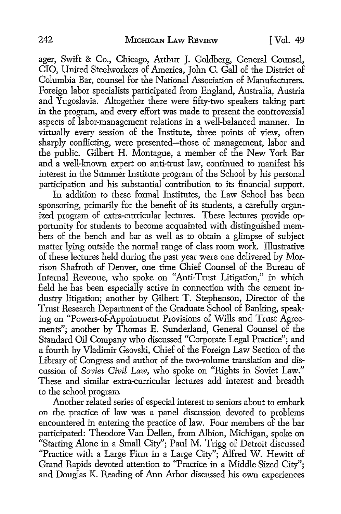ager, Swift & Co., Chicago, Arthur J. Goldberg, General Counsel, CIO, United Steelworkers of America, John C. Gall of the District of Columbia Bar, counsel for the National Association of Manufacturers. Foreign labor specialists participated from England, Australia, Austria and Yugoslavia. Altogether there were fifty-two speakers taking part in the program, and every effort was made to present the controversial aspects of labor-management relations in a well-balanced manner. In virtually every session of the Institute, three points of view, often sharply conflicting, were presented—those of management, labor and the public. Gilbert H. Montague, a member of the New York Bar and a well-known expert on anti-trust law, continued to manifest his interest in the Summer Institute program of the School by his personal participation and his substantial contribution to its financial support.

In addition to these formal Institutes, the Law School has been sponsoring, primarily for the benefit of its students, a carefully organized program of extra-curricular lectures. These lectures provide opportunity for students to become acquainted with distinguished members of the bench and bar as well as to obtain a glimpse of subject matter lying outside the normal range of class room work. Illustrative of these lectures held during the past year were one delivered by Morrison Shafroth of Denver, one time Chief Counsel of the Bureau of Internal Revenue, who spoke on "Anti-Trust Litigation," in which field he has been especially active in connection with the cement industry litigation; another by Gilbert T. Stephenson, Director of the Trust Research Department of the Graduate School of Banking, speaking on "Powers-of-Appointment Provisions of Wills and Trust Agreements"; another by Thomas E. Sunderland, General Counsel of the Standard Oil Company who discussed "Corporate Legal Practice"; and a fourth by Vladimir Gsovski, Chief of the Foreign Law Section of the Library of Congress and author of the two-volume translation and discussion of *Soviet Civil Law,* who spoke on "Rights in Soviet Law." These and similar extra-curricular lectures add interest and breadth to the school program

Another related series of especial interest to seniors about to embark on the practice of law was a panel discussion devoted to problems encountered in entering the practice of law. Four members of the bar participated: Theodore Van Dellen, from Albion, Michigan, spoke on "Starting Alone in a Small City"; Paul M. Trigg of Detroit discussed "Practice with a Large Firm in a Large City"; Alfred W. Hewitt of Grand Rapids devoted attention to "Practice in a Middle-Sized City"; and Douglas K. Reading of Ann Arbor discussed his own experiences